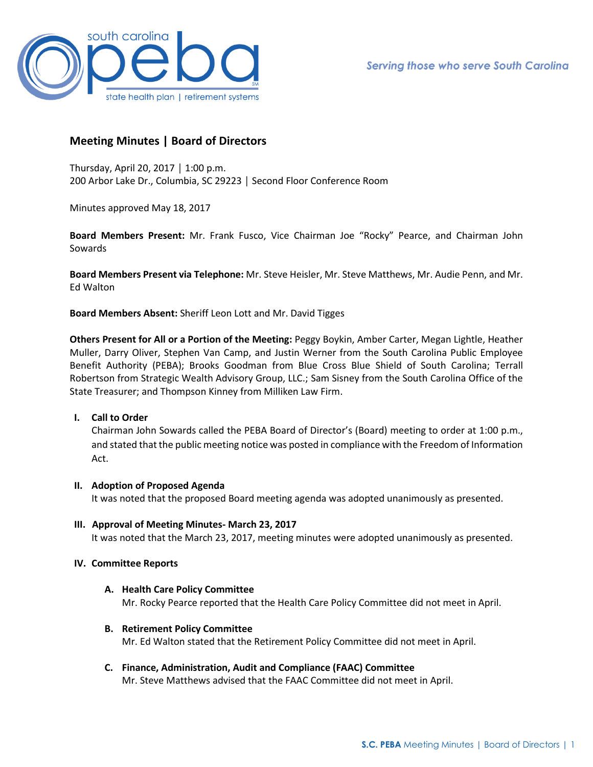

# **Meeting Minutes | Board of Directors**

Thursday, April 20, 2017 │ 1:00 p.m. 200 Arbor Lake Dr., Columbia, SC 29223 │ Second Floor Conference Room

Minutes approved May 18, 2017

**Board Members Present:** Mr. Frank Fusco, Vice Chairman Joe "Rocky" Pearce, and Chairman John Sowards

**Board Members Present via Telephone:** Mr. Steve Heisler, Mr. Steve Matthews, Mr. Audie Penn, and Mr. Ed Walton

**Board Members Absent:** Sheriff Leon Lott and Mr. David Tigges

**Others Present for All or a Portion of the Meeting:** Peggy Boykin, Amber Carter, Megan Lightle, Heather Muller, Darry Oliver, Stephen Van Camp, and Justin Werner from the South Carolina Public Employee Benefit Authority (PEBA); Brooks Goodman from Blue Cross Blue Shield of South Carolina; Terrall Robertson from Strategic Wealth Advisory Group, LLC.; Sam Sisney from the South Carolina Office of the State Treasurer; and Thompson Kinney from Milliken Law Firm.

### **I. Call to Order**

Chairman John Sowards called the PEBA Board of Director's (Board) meeting to order at 1:00 p.m., and stated that the public meeting notice was posted in compliance with the Freedom of Information Act.

### **II. Adoption of Proposed Agenda**

It was noted that the proposed Board meeting agenda was adopted unanimously as presented.

**III. Approval of Meeting Minutes- March 23, 2017** It was noted that the March 23, 2017, meeting minutes were adopted unanimously as presented.

### **IV. Committee Reports**

- **A. Health Care Policy Committee**  Mr. Rocky Pearce reported that the Health Care Policy Committee did not meet in April.
- **B. Retirement Policy Committee** Mr. Ed Walton stated that the Retirement Policy Committee did not meet in April.

## **C. Finance, Administration, Audit and Compliance (FAAC) Committee**

Mr. Steve Matthews advised that the FAAC Committee did not meet in April.